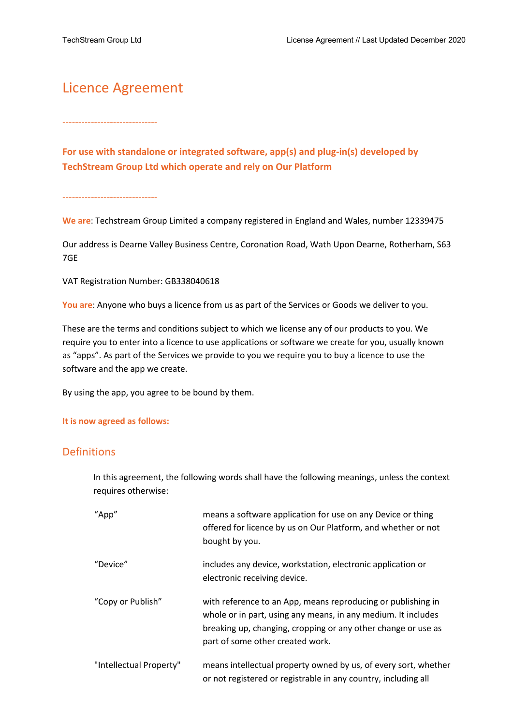# Licence Agreement

------------------------------

**For use with standalone or integrated software, app(s) and plug-in(s) developed by TechStream Group Ltd which operate and rely on Our Platform**

------------------------------

**We are**: Techstream Group Limited a company registered in England and Wales, number 12339475

Our address is Dearne Valley Business Centre, Coronation Road, Wath Upon Dearne, Rotherham, S63 7GE

VAT Registration Number: GB338040618

**You are**: Anyone who buys a licence from us as part of the Services or Goods we deliver to you.

These are the terms and conditions subject to which we license any of our products to you. We require you to enter into a licence to use applications or software we create for you, usually known as "apps". As part of the Services we provide to you we require you to buy a licence to use the software and the app we create.

By using the app, you agree to be bound by them.

#### **It is now agreed as follows:**

#### Definitions

In this agreement, the following words shall have the following meanings, unless the context requires otherwise:

| "App"                   | means a software application for use on any Device or thing<br>offered for licence by us on Our Platform, and whether or not<br>bought by you.                                                                                     |
|-------------------------|------------------------------------------------------------------------------------------------------------------------------------------------------------------------------------------------------------------------------------|
| "Device"                | includes any device, workstation, electronic application or<br>electronic receiving device.                                                                                                                                        |
| "Copy or Publish"       | with reference to an App, means reproducing or publishing in<br>whole or in part, using any means, in any medium. It includes<br>breaking up, changing, cropping or any other change or use as<br>part of some other created work. |
| "Intellectual Property" | means intellectual property owned by us, of every sort, whether<br>or not registered or registrable in any country, including all                                                                                                  |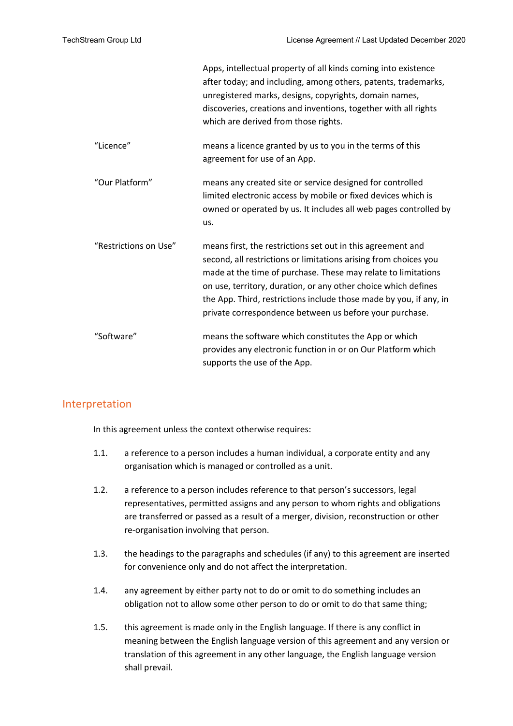|                       | Apps, intellectual property of all kinds coming into existence<br>after today; and including, among others, patents, trademarks,<br>unregistered marks, designs, copyrights, domain names,<br>discoveries, creations and inventions, together with all rights<br>which are derived from those rights.                                                                                               |
|-----------------------|-----------------------------------------------------------------------------------------------------------------------------------------------------------------------------------------------------------------------------------------------------------------------------------------------------------------------------------------------------------------------------------------------------|
| "Licence"             | means a licence granted by us to you in the terms of this<br>agreement for use of an App.                                                                                                                                                                                                                                                                                                           |
| "Our Platform"        | means any created site or service designed for controlled<br>limited electronic access by mobile or fixed devices which is<br>owned or operated by us. It includes all web pages controlled by<br>us.                                                                                                                                                                                               |
| "Restrictions on Use" | means first, the restrictions set out in this agreement and<br>second, all restrictions or limitations arising from choices you<br>made at the time of purchase. These may relate to limitations<br>on use, territory, duration, or any other choice which defines<br>the App. Third, restrictions include those made by you, if any, in<br>private correspondence between us before your purchase. |
| "Software"            | means the software which constitutes the App or which<br>provides any electronic function in or on Our Platform which<br>supports the use of the App.                                                                                                                                                                                                                                               |

#### Interpretation

In this agreement unless the context otherwise requires:

- 1.1. a reference to a person includes a human individual, a corporate entity and any organisation which is managed or controlled as a unit.
- 1.2. a reference to a person includes reference to that person's successors, legal representatives, permitted assigns and any person to whom rights and obligations are transferred or passed as a result of a merger, division, reconstruction or other re-organisation involving that person.
- 1.3. the headings to the paragraphs and schedules (if any) to this agreement are inserted for convenience only and do not affect the interpretation.
- 1.4. any agreement by either party not to do or omit to do something includes an obligation not to allow some other person to do or omit to do that same thing;
- 1.5. this agreement is made only in the English language. If there is any conflict in meaning between the English language version of this agreement and any version or translation of this agreement in any other language, the English language version shall prevail.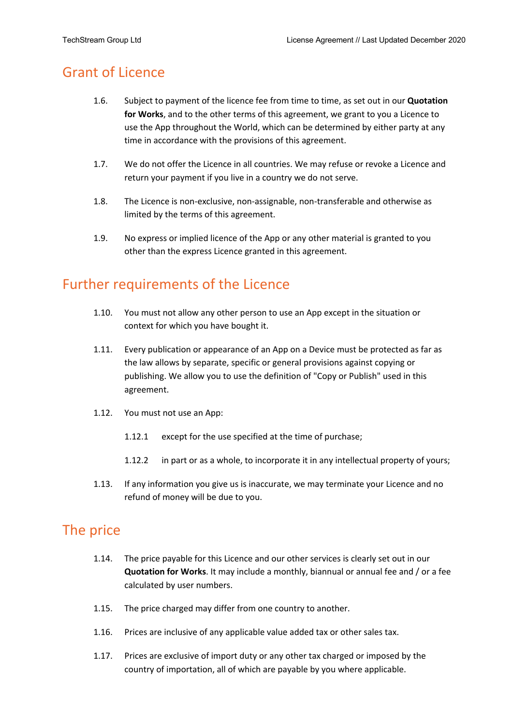### Grant of Licence

- 1.6. Subject to payment of the licence fee from time to time, as set out in our **Quotation for Works**, and to the other terms of this agreement, we grant to you a Licence to use the App throughout the World, which can be determined by either party at any time in accordance with the provisions of this agreement.
- 1.7. We do not offer the Licence in all countries. We may refuse or revoke a Licence and return your payment if you live in a country we do not serve.
- 1.8. The Licence is non-exclusive, non-assignable, non-transferable and otherwise as limited by the terms of this agreement.
- 1.9. No express or implied licence of the App or any other material is granted to you other than the express Licence granted in this agreement.

## Further requirements of the Licence

- 1.10. You must not allow any other person to use an App except in the situation or context for which you have bought it.
- 1.11. Every publication or appearance of an App on a Device must be protected as far as the law allows by separate, specific or general provisions against copying or publishing. We allow you to use the definition of "Copy or Publish" used in this agreement.
- 1.12. You must not use an App:
	- 1.12.1 except for the use specified at the time of purchase;
	- 1.12.2 in part or as a whole, to incorporate it in any intellectual property of yours;
- 1.13. If any information you give us is inaccurate, we may terminate your Licence and no refund of money will be due to you.

#### The price

- 1.14. The price payable for this Licence and our other services is clearly set out in our **Quotation for Works**. It may include a monthly, biannual or annual fee and / or a fee calculated by user numbers.
- 1.15. The price charged may differ from one country to another.
- 1.16. Prices are inclusive of any applicable value added tax or other sales tax.
- 1.17. Prices are exclusive of import duty or any other tax charged or imposed by the country of importation, all of which are payable by you where applicable.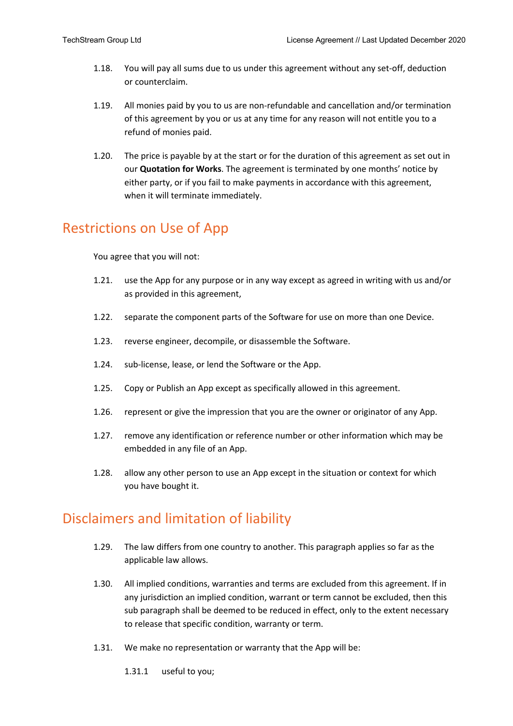- 1.18. You will pay all sums due to us under this agreement without any set-off, deduction or counterclaim.
- 1.19. All monies paid by you to us are non-refundable and cancellation and/or termination of this agreement by you or us at any time for any reason will not entitle you to a refund of monies paid.
- 1.20. The price is payable by at the start or for the duration of this agreement as set out in our **Quotation for Works**. The agreement is terminated by one months' notice by either party, or if you fail to make payments in accordance with this agreement, when it will terminate immediately.

### Restrictions on Use of App

You agree that you will not:

- 1.21. use the App for any purpose or in any way except as agreed in writing with us and/or as provided in this agreement,
- 1.22. separate the component parts of the Software for use on more than one Device.
- 1.23. reverse engineer, decompile, or disassemble the Software.
- 1.24. sub-license, lease, or lend the Software or the App.
- 1.25. Copy or Publish an App except as specifically allowed in this agreement.
- 1.26. represent or give the impression that you are the owner or originator of any App.
- 1.27. remove any identification or reference number or other information which may be embedded in any file of an App.
- 1.28. allow any other person to use an App except in the situation or context for which you have bought it.

#### Disclaimers and limitation of liability

- 1.29. The law differs from one country to another. This paragraph applies so far as the applicable law allows.
- 1.30. All implied conditions, warranties and terms are excluded from this agreement. If in any jurisdiction an implied condition, warrant or term cannot be excluded, then this sub paragraph shall be deemed to be reduced in effect, only to the extent necessary to release that specific condition, warranty or term.
- 1.31. We make no representation or warranty that the App will be:
	- 1.31.1 useful to you;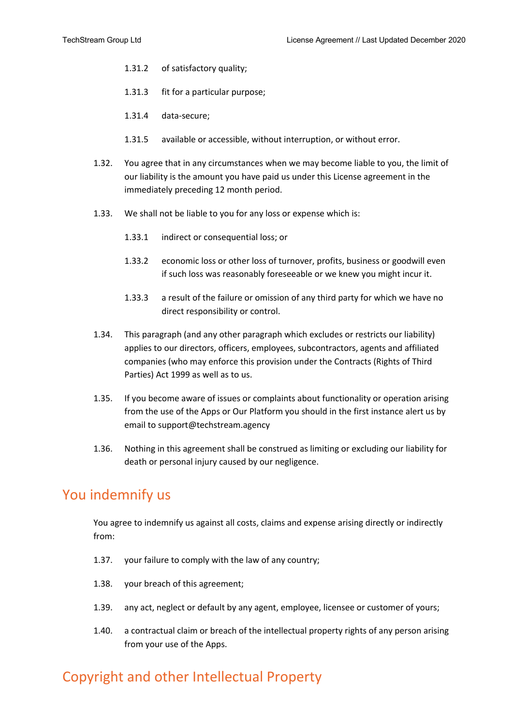- 1.31.2 of satisfactory quality;
- 1.31.3 fit for a particular purpose;
- 1.31.4 data-secure;
- 1.31.5 available or accessible, without interruption, or without error.
- 1.32. You agree that in any circumstances when we may become liable to you, the limit of our liability is the amount you have paid us under this License agreement in the immediately preceding 12 month period.
- 1.33. We shall not be liable to you for any loss or expense which is:
	- 1.33.1 indirect or consequential loss; or
	- 1.33.2 economic loss or other loss of turnover, profits, business or goodwill even if such loss was reasonably foreseeable or we knew you might incur it.
	- 1.33.3 a result of the failure or omission of any third party for which we have no direct responsibility or control.
- 1.34. This paragraph (and any other paragraph which excludes or restricts our liability) applies to our directors, officers, employees, subcontractors, agents and affiliated companies (who may enforce this provision under the Contracts (Rights of Third Parties) Act 1999 as well as to us.
- 1.35. If you become aware of issues or complaints about functionality or operation arising from the use of the Apps or Our Platform you should in the first instance alert us by email to support@techstream.agency
- 1.36. Nothing in this agreement shall be construed as limiting or excluding our liability for death or personal injury caused by our negligence.

#### You indemnify us

You agree to indemnify us against all costs, claims and expense arising directly or indirectly from:

- 1.37. your failure to comply with the law of any country;
- 1.38. your breach of this agreement;
- 1.39. any act, neglect or default by any agent, employee, licensee or customer of yours;
- 1.40. a contractual claim or breach of the intellectual property rights of any person arising from your use of the Apps.

# Copyright and other Intellectual Property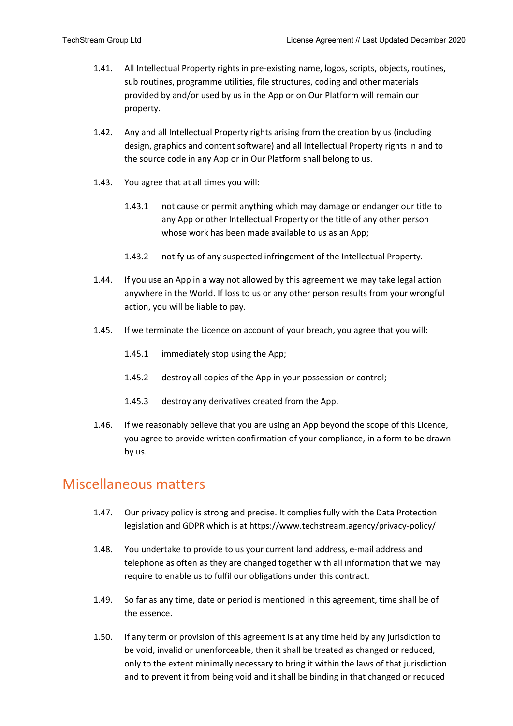- 1.41. All Intellectual Property rights in pre-existing name, logos, scripts, objects, routines, sub routines, programme utilities, file structures, coding and other materials provided by and/or used by us in the App or on Our Platform will remain our property.
- 1.42. Any and all Intellectual Property rights arising from the creation by us (including design, graphics and content software) and all Intellectual Property rights in and to the source code in any App or in Our Platform shall belong to us.
- 1.43. You agree that at all times you will:
	- 1.43.1 not cause or permit anything which may damage or endanger our title to any App or other Intellectual Property or the title of any other person whose work has been made available to us as an App;
	- 1.43.2 notify us of any suspected infringement of the Intellectual Property.
- 1.44. If you use an App in a way not allowed by this agreement we may take legal action anywhere in the World. If loss to us or any other person results from your wrongful action, you will be liable to pay.
- 1.45. If we terminate the Licence on account of your breach, you agree that you will:
	- 1.45.1 immediately stop using the App;
	- 1.45.2 destroy all copies of the App in your possession or control;
	- 1.45.3 destroy any derivatives created from the App.
- 1.46. If we reasonably believe that you are using an App beyond the scope of this Licence, you agree to provide written confirmation of your compliance, in a form to be drawn by us.

#### Miscellaneous matters

- 1.47. Our privacy policy is strong and precise. It complies fully with the Data Protection legislation and GDPR which is at https://www.techstream.agency/privacy-policy/
- 1.48. You undertake to provide to us your current land address, e-mail address and telephone as often as they are changed together with all information that we may require to enable us to fulfil our obligations under this contract.
- 1.49. So far as any time, date or period is mentioned in this agreement, time shall be of the essence.
- 1.50. If any term or provision of this agreement is at any time held by any jurisdiction to be void, invalid or unenforceable, then it shall be treated as changed or reduced, only to the extent minimally necessary to bring it within the laws of that jurisdiction and to prevent it from being void and it shall be binding in that changed or reduced